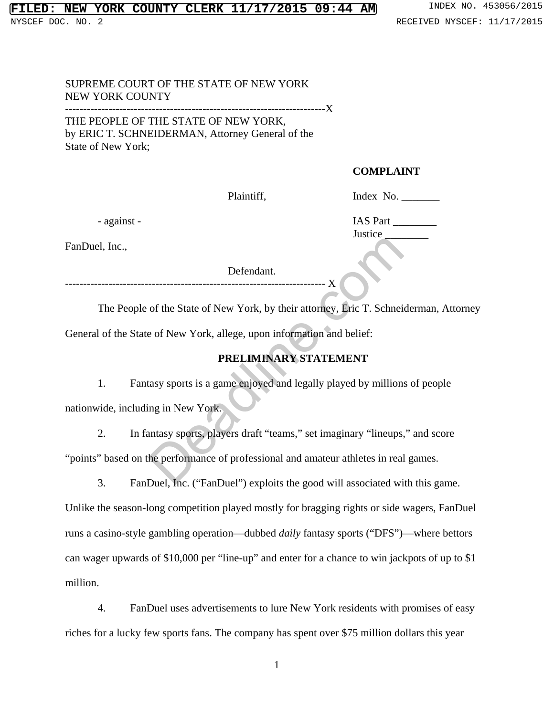#### **FIRE COUNTY CLERK 11/17/2015 09:44 AM** INDEX NO. 453056/2015 NYSCEF DOC. NO. 2 **RECEIVED NYSCEF: 11/17/2015**

#### SUPREME COURT OF THE STATE OF NEW YORK NEW YORK COUNTY -------------------X

THE PEOPLE OF THE STATE OF NEW YORK, by ERIC T. SCHNEIDERMAN, Attorney General of the State of New York;

## **COMPLAINT**

Justice\_

Plaintiff, Index No.

- against - IAS Part \_\_\_\_\_\_\_\_

FanDuel, Inc.,

Defendant.

------------------------------------------------------------------------ X

The People of the State of New York, by their attorney, Eric T. Schneiderman, Attorney General of the State of New York, allege, upon information and belief:

# **PRELIMINARY STATEMENT**

1. Fantasy sports is a game enjoyed and legally played by millions of people nationwide, including in New York.

2. In fantasy sports, players draft "teams," set imaginary "lineups," and score "points" based on the performance of professional and amateur athletes in real games. Defendant.<br>
Solution Contains and Selection Contains and Selection Contains and Selection<br>
Container of New York, allege, upon information and belief:<br> **PRELIMINARY STATEMENT**<br>
Contains a game enjoyed and legally played by

3. FanDuel, Inc. ("FanDuel") exploits the good will associated with this game.

Unlike the season-long competition played mostly for bragging rights or side wagers, FanDuel runs a casino-style gambling operation—dubbed *daily* fantasy sports ("DFS")—where bettors can wager upwards of \$10,000 per "line-up" and enter for a chance to win jackpots of up to \$1 million.

4. FanDuel uses advertisements to lure New York residents with promises of easy riches for a lucky few sports fans. The company has spent over \$75 million dollars this year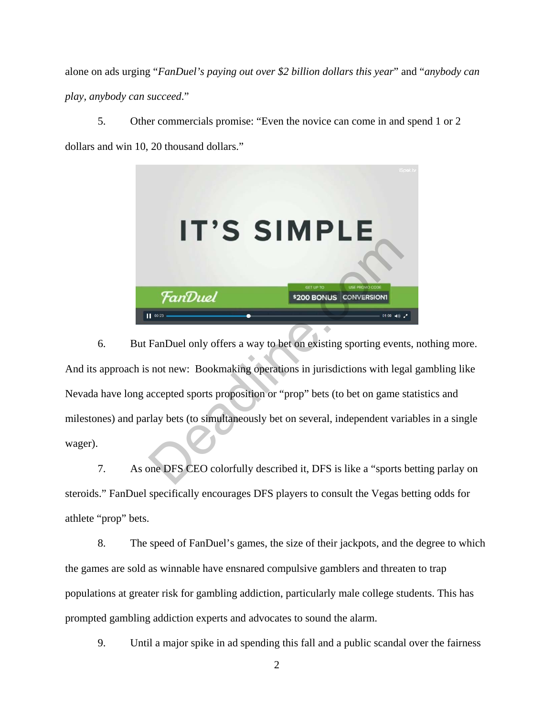alone on ads urging "*FanDuel's paying out over \$2 billion dollars this year*" and "*anybody can play, anybody can succeed*."

5. Other commercials promise: "Even the novice can come in and spend 1 or 2 dollars and win 10, 20 thousand dollars."



6. But FanDuel only offers a way to bet on existing sporting events, nothing more. And its approach is not new: Bookmaking operations in jurisdictions with legal gambling like Nevada have long accepted sports proposition or "prop" bets (to bet on game statistics and milestones) and parlay bets (to simultaneously bet on several, independent variables in a single wager). FanDuel<br>
PanDuel<br>
PanDuel only offers a way to bet on existing sporting even<br>
not new: Bookmaking operations in jurisdictions with leg<br>
accepted sports proposition or "prop" bets (to bet on game stay bets (to simultaneousl

7. As one DFS CEO colorfully described it, DFS is like a "sports betting parlay on steroids." FanDuel specifically encourages DFS players to consult the Vegas betting odds for athlete "prop" bets.

8. The speed of FanDuel's games, the size of their jackpots, and the degree to which the games are sold as winnable have ensnared compulsive gamblers and threaten to trap populations at greater risk for gambling addiction, particularly male college students. This has prompted gambling addiction experts and advocates to sound the alarm.

9. Until a major spike in ad spending this fall and a public scandal over the fairness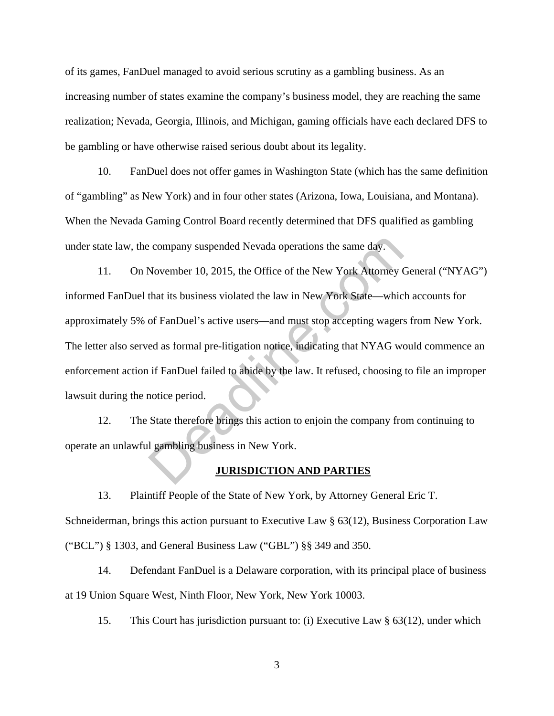of its games, FanDuel managed to avoid serious scrutiny as a gambling business. As an increasing number of states examine the company's business model, they are reaching the same realization; Nevada, Georgia, Illinois, and Michigan, gaming officials have each declared DFS to be gambling or have otherwise raised serious doubt about its legality.

10. FanDuel does not offer games in Washington State (which has the same definition of "gambling" as New York) and in four other states (Arizona, Iowa, Louisiana, and Montana). When the Nevada Gaming Control Board recently determined that DFS qualified as gambling under state law, the company suspended Nevada operations the same day.

11. On November 10, 2015, the Office of the New York Attorney General ("NYAG") informed FanDuel that its business violated the law in New York State—which accounts for approximately 5% of FanDuel's active users—and must stop accepting wagers from New York. The letter also served as formal pre-litigation notice, indicating that NYAG would commence an enforcement action if FanDuel failed to abide by the law. It refused, choosing to file an improper lawsuit during the notice period. company suspended Nevada operations the same day.<br>
November 10, 2015, the Office of the New York Attorney of<br>
that its business violated the law in New York State—whic<br>
of FanDuel's active users—and must stop accepting wag

12. The State therefore brings this action to enjoin the company from continuing to operate an unlawful gambling business in New York.

#### **JURISDICTION AND PARTIES**

13. Plaintiff People of the State of New York, by Attorney General Eric T. Schneiderman, brings this action pursuant to Executive Law § 63(12), Business Corporation Law ("BCL") § 1303, and General Business Law ("GBL") §§ 349 and 350.

14. Defendant FanDuel is a Delaware corporation, with its principal place of business at 19 Union Square West, Ninth Floor, New York, New York 10003.

15. This Court has jurisdiction pursuant to: (i) Executive Law § 63(12), under which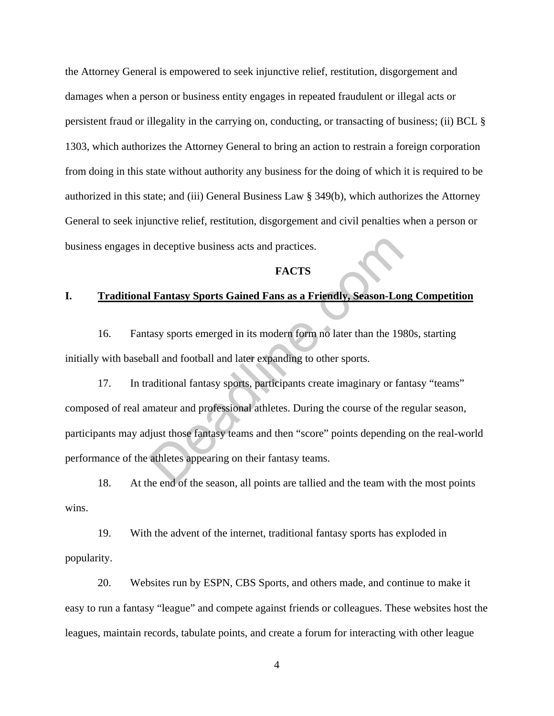the Attorney General is empowered to seek injunctive relief, restitution, disgorgement and damages when a person or business entity engages in repeated fraudulent or illegal acts or persistent fraud or illegality in the carrying on, conducting, or transacting of business; (ii) BCL § 1303, which authorizes the Attorney General to bring an action to restrain a foreign corporation from doing in this state without authority any business for the doing of which it is required to be authorized in this state; and (iii) General Business Law § 349(b), which authorizes the Attorney General to seek injunctive relief, restitution, disgorgement and civil penalties when a person or business engages in deceptive business acts and practices.

## **FACTS**

## **I. Traditional Fantasy Sports Gained Fans as a Friendly, Season-Long Competition**

16. Fantasy sports emerged in its modern form no later than the 1980s, starting initially with baseball and football and later expanding to other sports.

17. In traditional fantasy sports, participants create imaginary or fantasy "teams" composed of real amateur and professional athletes. During the course of the regular season, participants may adjust those fantasy teams and then "score" points depending on the real-world performance of the athletes appearing on their fantasy teams. I Fantasy Sports Gained Fans as a Friendly, Season-Lor<br>
I Fantasy Sports Gained Fans as a Friendly, Season-Lor<br>
Hasy sports emerged in its modern form no later than the 198<br>
All and football and later expanding to other sp

18. At the end of the season, all points are tallied and the team with the most points wins.

19. With the advent of the internet, traditional fantasy sports has exploded in popularity.

20. Websites run by ESPN, CBS Sports, and others made, and continue to make it easy to run a fantasy "league" and compete against friends or colleagues. These websites host the leagues, maintain records, tabulate points, and create a forum for interacting with other league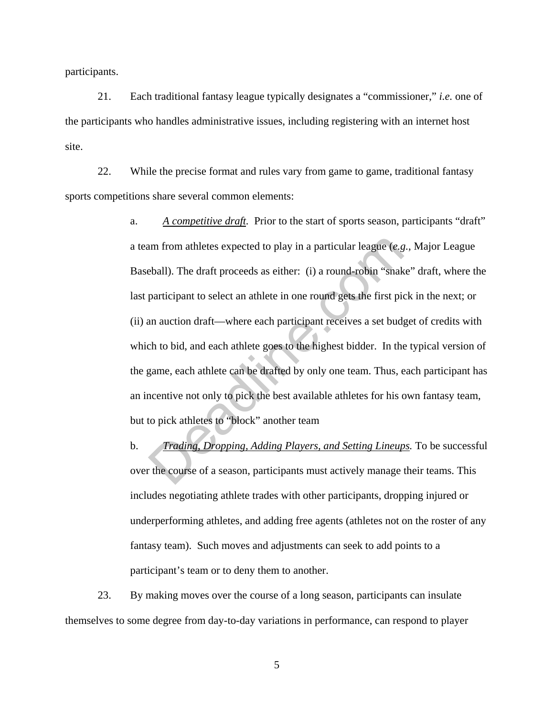participants.

21. Each traditional fantasy league typically designates a "commissioner," *i.e.* one of the participants who handles administrative issues, including registering with an internet host site.

22. While the precise format and rules vary from game to game, traditional fantasy sports competitions share several common elements:

> a. *A competitive draft.* Prior to the start of sports season, participants "draft" a team from athletes expected to play in a particular league (*e.g.*, Major League Baseball). The draft proceeds as either: (i) a round-robin "snake" draft, where the last participant to select an athlete in one round gets the first pick in the next; or (ii) an auction draft—where each participant receives a set budget of credits with which to bid, and each athlete goes to the highest bidder. In the typical version of the game, each athlete can be drafted by only one team. Thus, each participant has an incentive not only to pick the best available athletes for his own fantasy team, but to pick athletes to "block" another team am from athletes expected to play in a particular league (*e.g* eball). The draft proceeds as either: (i) a round-robin "snak participant to select an athlete in one round gets the first pion auction draft—where each parti

> b. *Trading, Dropping, Adding Players, and Setting Lineups.* To be successful over the course of a season, participants must actively manage their teams. This includes negotiating athlete trades with other participants, dropping injured or underperforming athletes, and adding free agents (athletes not on the roster of any fantasy team). Such moves and adjustments can seek to add points to a participant's team or to deny them to another.

23. By making moves over the course of a long season, participants can insulate themselves to some degree from day-to-day variations in performance, can respond to player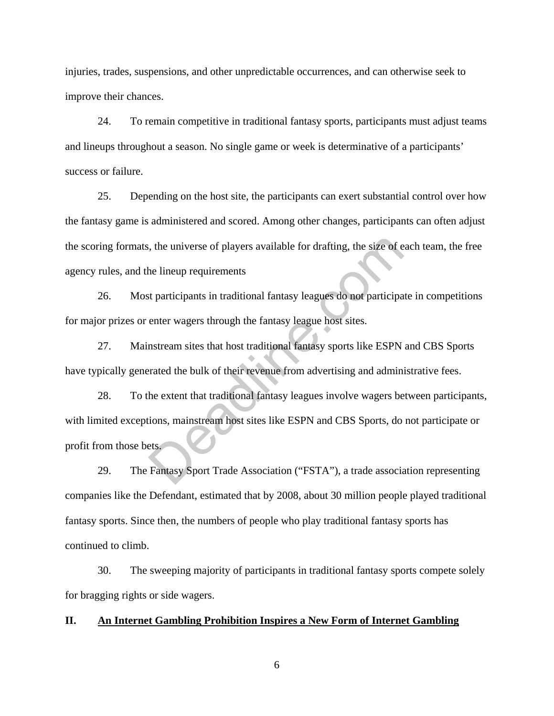injuries, trades, suspensions, and other unpredictable occurrences, and can otherwise seek to improve their chances.

24. To remain competitive in traditional fantasy sports, participants must adjust teams and lineups throughout a season. No single game or week is determinative of a participants' success or failure.

25. Depending on the host site, the participants can exert substantial control over how the fantasy game is administered and scored. Among other changes, participants can often adjust the scoring formats, the universe of players available for drafting, the size of each team, the free agency rules, and the lineup requirements

26. Most participants in traditional fantasy leagues do not participate in competitions for major prizes or enter wagers through the fantasy league host sites.

27. Mainstream sites that host traditional fantasy sports like ESPN and CBS Sports have typically generated the bulk of their revenue from advertising and administrative fees.

28. To the extent that traditional fantasy leagues involve wagers between participants, with limited exceptions, mainstream host sites like ESPN and CBS Sports, do not participate or profit from those bets. The universe of players available for drafting, the size of e<br>the lineup requirements<br>st participants in traditional fantasy leagues do not participa<br>enter wagers through the fantasy league host sites.<br>nstream sites that h

29. The Fantasy Sport Trade Association ("FSTA"), a trade association representing companies like the Defendant, estimated that by 2008, about 30 million people played traditional fantasy sports. Since then, the numbers of people who play traditional fantasy sports has continued to climb.

30. The sweeping majority of participants in traditional fantasy sports compete solely for bragging rights or side wagers.

#### **II. An Internet Gambling Prohibition Inspires a New Form of Internet Gambling**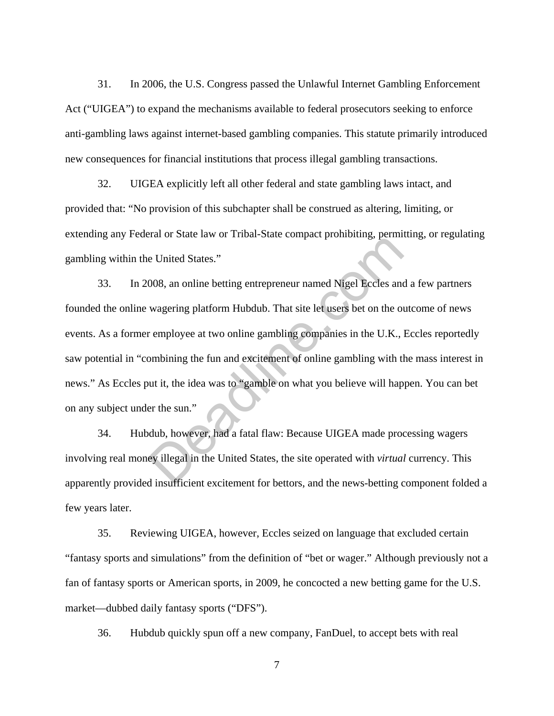31. In 2006, the U.S. Congress passed the Unlawful Internet Gambling Enforcement Act ("UIGEA") to expand the mechanisms available to federal prosecutors seeking to enforce anti-gambling laws against internet-based gambling companies. This statute primarily introduced new consequences for financial institutions that process illegal gambling transactions.

32. UIGEA explicitly left all other federal and state gambling laws intact, and provided that: "No provision of this subchapter shall be construed as altering, limiting, or extending any Federal or State law or Tribal-State compact prohibiting, permitting, or regulating gambling within the United States."

33. In 2008, an online betting entrepreneur named Nigel Eccles and a few partners founded the online wagering platform Hubdub. That site let users bet on the outcome of news events. As a former employee at two online gambling companies in the U.K., Eccles reportedly saw potential in "combining the fun and excitement of online gambling with the mass interest in news." As Eccles put it, the idea was to "gamble on what you believe will happen. You can bet on any subject under the sun." e United States."<br>
Complete Fourth and the complete policially, peam<br>
Do8, an online betting entrepreneur named Nigel Eccles and<br>
wagering platform Hubdub. That site let users bet on the or<br>
r employee at two online gambli

34. Hubdub, however, had a fatal flaw: Because UIGEA made processing wagers involving real money illegal in the United States, the site operated with *virtual* currency. This apparently provided insufficient excitement for bettors, and the news-betting component folded a few years later.

35. Reviewing UIGEA, however, Eccles seized on language that excluded certain "fantasy sports and simulations" from the definition of "bet or wager." Although previously not a fan of fantasy sports or American sports, in 2009, he concocted a new betting game for the U.S. market—dubbed daily fantasy sports ("DFS").

36. Hubdub quickly spun off a new company, FanDuel, to accept bets with real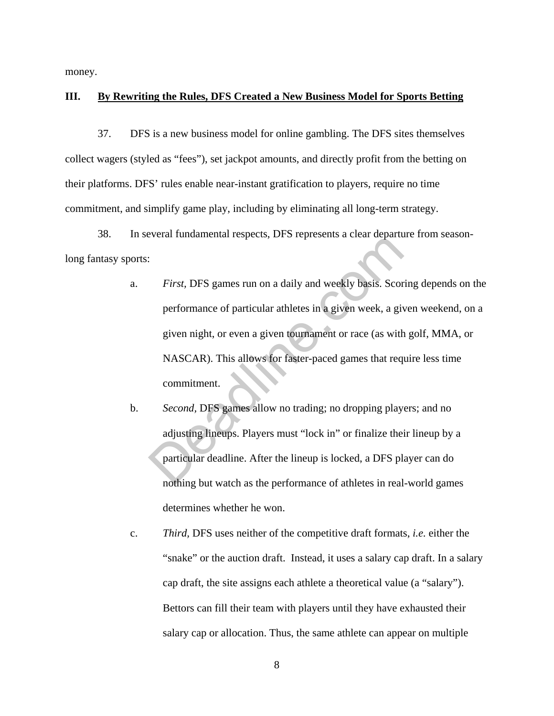money.

## **III. By Rewriting the Rules, DFS Created a New Business Model for Sports Betting**

37. DFS is a new business model for online gambling. The DFS sites themselves collect wagers (styled as "fees"), set jackpot amounts, and directly profit from the betting on their platforms. DFS' rules enable near-instant gratification to players, require no time commitment, and simplify game play, including by eliminating all long-term strategy.

38. In several fundamental respects, DFS represents a clear departure from seasonlong fantasy sports:

- a. *First,* DFS games run on a daily and weekly basis. Scoring depends on the performance of particular athletes in a given week, a given weekend, on a given night, or even a given tournament or race (as with golf, MMA, or NASCAR). This allows for faster-paced games that require less time commitment. First, DFS games run on a daily and weekly basis. Score<br>performance of particular athletes in a given week, a given night, or even a given tournament or race (as with<br>NASCAR). This allows for faster-paced games that req<br>co
- b. *Second,* DFS games allow no trading; no dropping players; and no adjusting lineups. Players must "lock in" or finalize their lineup by a particular deadline. After the lineup is locked, a DFS player can do nothing but watch as the performance of athletes in real-world games determines whether he won.
- c. *Third,* DFS uses neither of the competitive draft formats, *i.e.* either the "snake" or the auction draft. Instead, it uses a salary cap draft. In a salary cap draft, the site assigns each athlete a theoretical value (a "salary"). Bettors can fill their team with players until they have exhausted their salary cap or allocation. Thus, the same athlete can appear on multiple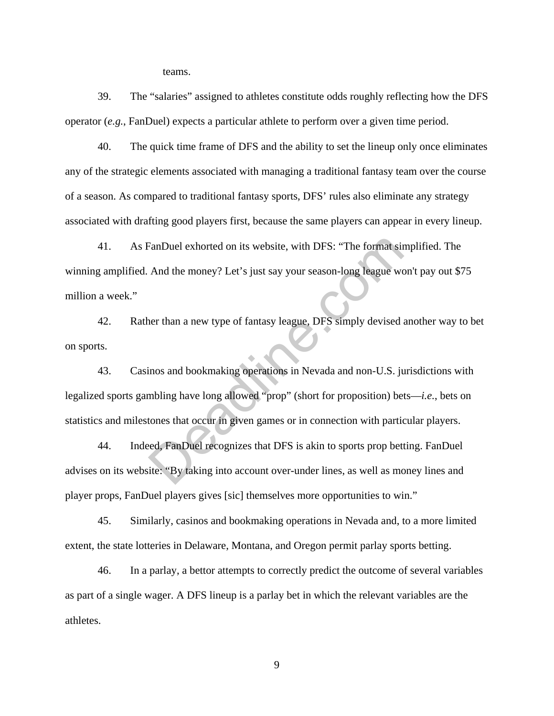teams.

39. The "salaries" assigned to athletes constitute odds roughly reflecting how the DFS operator (*e.g.*, FanDuel) expects a particular athlete to perform over a given time period.

40. The quick time frame of DFS and the ability to set the lineup only once eliminates any of the strategic elements associated with managing a traditional fantasy team over the course of a season. As compared to traditional fantasy sports, DFS' rules also eliminate any strategy associated with drafting good players first, because the same players can appear in every lineup.

41. As FanDuel exhorted on its website, with DFS: "The format simplified. The winning amplified. And the money? Let's just say your season-long league won't pay out \$75 million a week."

42. Rather than a new type of fantasy league, DFS simply devised another way to bet on sports.

43. Casinos and bookmaking operations in Nevada and non-U.S. jurisdictions with legalized sports gambling have long allowed "prop" (short for proposition) bets—*i.e.*, bets on statistics and milestones that occur in given games or in connection with particular players. FanDuel exhorted on its website, with DFS: "The format sin<br>And the money? Let's just say your season-long league worker<br>than a new type of fantasy league, DFS simply devised a<br>than a new type of fantasy league, DFS simply

44. Indeed, FanDuel recognizes that DFS is akin to sports prop betting. FanDuel advises on its website: "By taking into account over-under lines, as well as money lines and player props, FanDuel players gives [sic] themselves more opportunities to win."

45. Similarly, casinos and bookmaking operations in Nevada and, to a more limited extent, the state lotteries in Delaware, Montana, and Oregon permit parlay sports betting.

46. In a parlay, a bettor attempts to correctly predict the outcome of several variables as part of a single wager. A DFS lineup is a parlay bet in which the relevant variables are the athletes.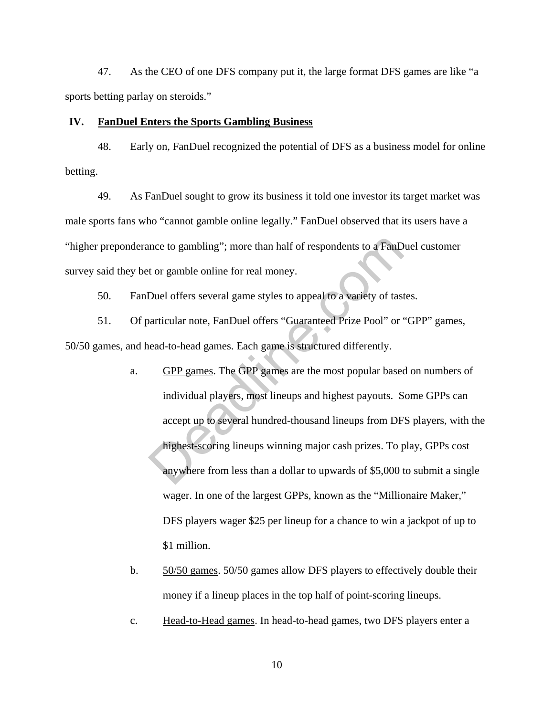47. As the CEO of one DFS company put it, the large format DFS games are like "a sports betting parlay on steroids."

#### **IV. FanDuel Enters the Sports Gambling Business**

48. Early on, FanDuel recognized the potential of DFS as a business model for online betting.

49. As FanDuel sought to grow its business it told one investor its target market was male sports fans who "cannot gamble online legally." FanDuel observed that its users have a "higher preponderance to gambling"; more than half of respondents to a FanDuel customer survey said they bet or gamble online for real money.

50. FanDuel offers several game styles to appeal to a variety of tastes.

51. Of particular note, FanDuel offers "Guaranteed Prize Pool" or "GPP" games, 50/50 games, and head-to-head games. Each game is structured differently.

- a. GPP games. The GPP games are the most popular based on numbers of individual players, most lineups and highest payouts. Some GPPs can accept up to several hundred-thousand lineups from DFS players, with the highest-scoring lineups winning major cash prizes. To play, GPPs cost anywhere from less than a dollar to upwards of \$5,000 to submit a single wager. In one of the largest GPPs, known as the "Millionaire Maker," DFS players wager \$25 per lineup for a chance to win a jackpot of up to \$1 million. ince to gambling"; more than half of respondents to a FanD<br>t or gamble online for real money.<br>Duel offers several game styles to appeal to a variety of tast<br>varticular note, FanDuel offers "Guaranteed Prize Pool" or<br>read-t
- b. 50/50 games. 50/50 games allow DFS players to effectively double their money if a lineup places in the top half of point-scoring lineups.
- c. Head-to-Head games. In head-to-head games, two DFS players enter a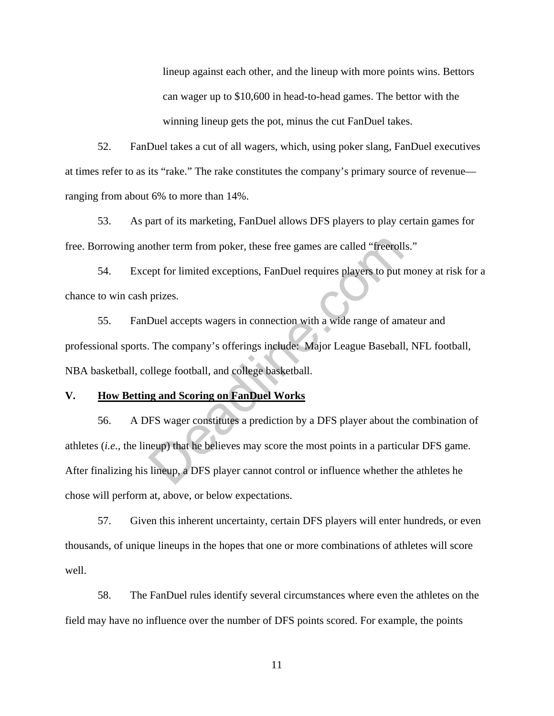lineup against each other, and the lineup with more points wins. Bettors can wager up to \$10,600 in head-to-head games. The bettor with the winning lineup gets the pot, minus the cut FanDuel takes.

52. FanDuel takes a cut of all wagers, which, using poker slang, FanDuel executives at times refer to as its "rake." The rake constitutes the company's primary source of revenue ranging from about 6% to more than 14%.

53. As part of its marketing, FanDuel allows DFS players to play certain games for free. Borrowing another term from poker, these free games are called "freerolls."

54. Except for limited exceptions, FanDuel requires players to put money at risk for a chance to win cash prizes.

55. FanDuel accepts wagers in connection with a wide range of amateur and professional sports. The company's offerings include: Major League Baseball, NFL football, NBA basketball, college football, and college basketball.

## **V. How Betting and Scoring on FanDuel Works**

56. A DFS wager constitutes a prediction by a DFS player about the combination of athletes (*i.e.*, the lineup) that he believes may score the most points in a particular DFS game. After finalizing his lineup, a DFS player cannot control or influence whether the athletes he chose will perform at, above, or below expectations. other term from poker, these free games are called "freeroll<br>ept for limited exceptions, FanDuel requires players to put<br>prizes.<br>Duel accepts wagers in connection with a wide range of am<br>The company's offerings include: Ma

57. Given this inherent uncertainty, certain DFS players will enter hundreds, or even thousands, of unique lineups in the hopes that one or more combinations of athletes will score well.

58. The FanDuel rules identify several circumstances where even the athletes on the field may have no influence over the number of DFS points scored. For example, the points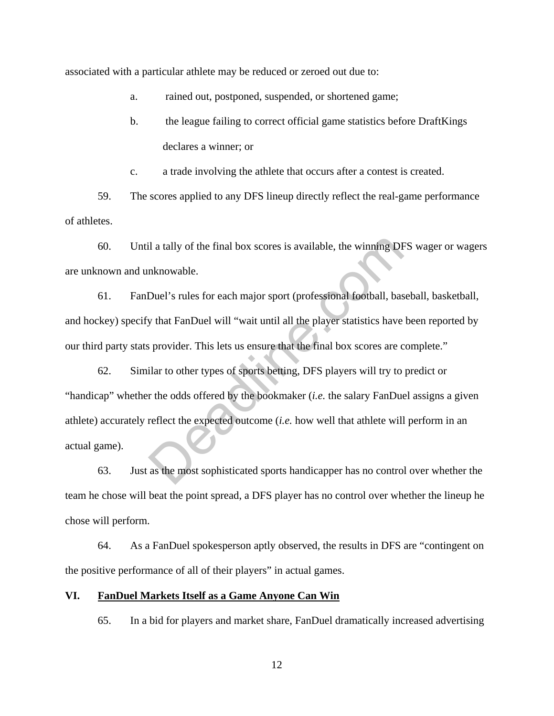associated with a particular athlete may be reduced or zeroed out due to:

a. rained out, postponed, suspended, or shortened game;

b. the league failing to correct official game statistics before DraftKings declares a winner; or

c. a trade involving the athlete that occurs after a contest is created.

59. The scores applied to any DFS lineup directly reflect the real-game performance of athletes.

60. Until a tally of the final box scores is available, the winning DFS wager or wagers are unknown and unknowable.

61. FanDuel's rules for each major sport (professional football, baseball, basketball, and hockey) specify that FanDuel will "wait until all the player statistics have been reported by our third party stats provider. This lets us ensure that the final box scores are complete."

62. Similar to other types of sports betting, DFS players will try to predict or "handicap" whether the odds offered by the bookmaker (*i.e.* the salary FanDuel assigns a given athlete) accurately reflect the expected outcome (*i.e.* how well that athlete will perform in an actual game). il a tally of the final box scores is available, the winning DF<br>nknowable.<br>Duel's rules for each major sport (professional football, bas<br>y that FanDuel will "wait until all the player statistics have<br>sprovider. This lets

63. Just as the most sophisticated sports handicapper has no control over whether the team he chose will beat the point spread, a DFS player has no control over whether the lineup he chose will perform.

64. As a FanDuel spokesperson aptly observed, the results in DFS are "contingent on the positive performance of all of their players" in actual games.

#### **VI. FanDuel Markets Itself as a Game Anyone Can Win**

65. In a bid for players and market share, FanDuel dramatically increased advertising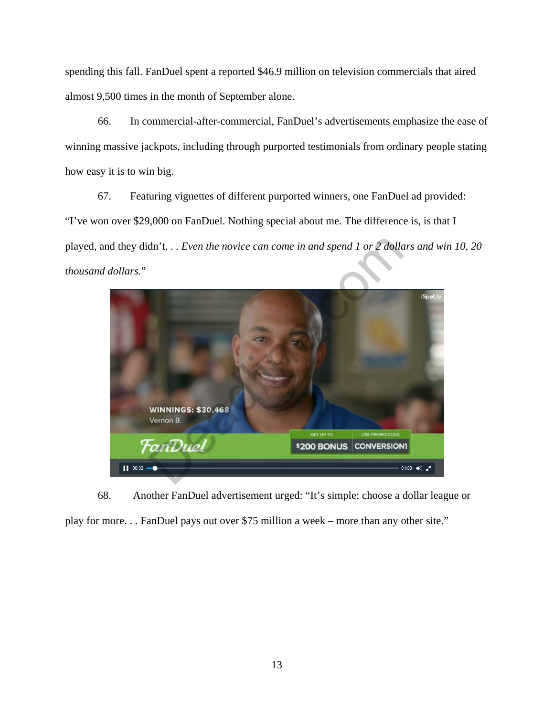spending this fall. FanDuel spent a reported \$46.9 million on television commercials that aired almost 9,500 times in the month of September alone.

66. In commercial-after-commercial, FanDuel's advertisements emphasize the ease of winning massive jackpots, including through purported testimonials from ordinary people stating how easy it is to win big.

67. Featuring vignettes of different purported winners, one FanDuel ad provided: "I've won over \$29,000 on FanDuel. Nothing special about me. The difference is, is that I played, and they didn't. . *. Even the novice can come in and spend 1 or 2 dollars and win 10, 20 thousand dollars.*"



68. Another FanDuel advertisement urged: "It's simple: choose a dollar league or play for more. . . FanDuel pays out over \$75 million a week – more than any other site."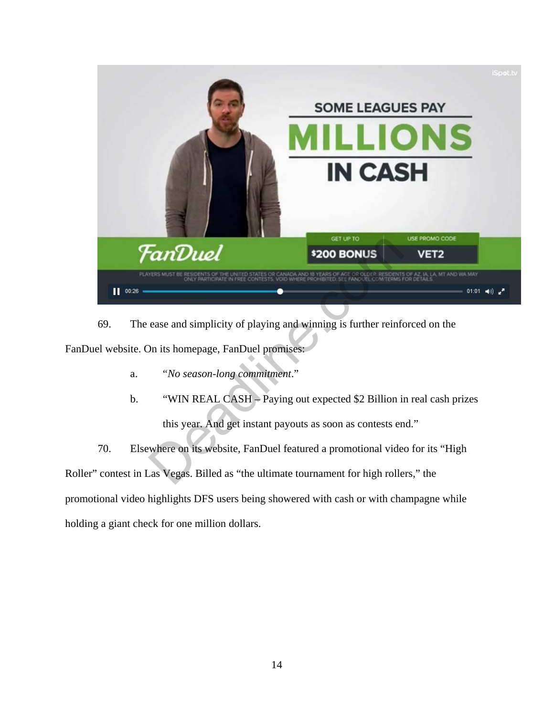

69. The ease and simplicity of playing and winning is further reinforced on the FanDuel website. On its homepage, FanDuel promises:

- a. "*No season-long commitment*."
- b. "WIN REAL CASH Paying out expected \$2 Billion in real cash prizes this year. And get instant payouts as soon as contests end."

70. Elsewhere on its website, FanDuel featured a promotional video for its "High Roller" contest in Las Vegas. Billed as "the ultimate tournament for high rollers," the promotional video highlights DFS users being showered with cash or with champagne while holding a giant check for one million dollars.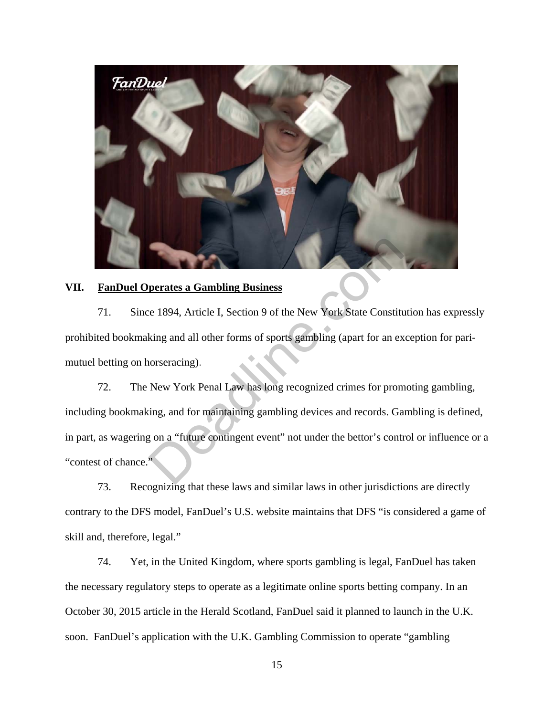

#### **VII. FanDuel Operates a Gambling Business**

71. Since 1894, Article I, Section 9 of the New York State Constitution has expressly prohibited bookmaking and all other forms of sports gambling (apart for an exception for parimutuel betting on horseracing).

72. The New York Penal Law has long recognized crimes for promoting gambling, including bookmaking, and for maintaining gambling devices and records. Gambling is defined, in part, as wagering on a "future contingent event" not under the bettor's control or influence or a "contest of chance." perates a Gambling Business<br>
e 1894, Article I, Section 9 of the New York State Constitution<br>
king and all other forms of sports gambling (apart for an ex<br>
norseracing).<br>
New York Penal Law has long recognized crimes for p

73. Recognizing that these laws and similar laws in other jurisdictions are directly contrary to the DFS model, FanDuel's U.S. website maintains that DFS "is considered a game of skill and, therefore, legal."

74. Yet, in the United Kingdom, where sports gambling is legal, FanDuel has taken the necessary regulatory steps to operate as a legitimate online sports betting company. In an October 30, 2015 article in the Herald Scotland, FanDuel said it planned to launch in the U.K. soon. FanDuel's application with the U.K. Gambling Commission to operate "gambling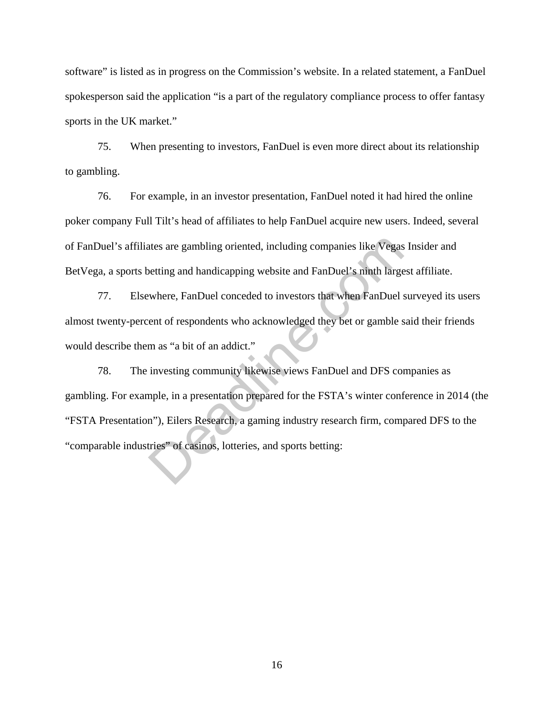software" is listed as in progress on the Commission's website. In a related statement, a FanDuel spokesperson said the application "is a part of the regulatory compliance process to offer fantasy sports in the UK market."

75. When presenting to investors, FanDuel is even more direct about its relationship to gambling.

76. For example, in an investor presentation, FanDuel noted it had hired the online poker company Full Tilt's head of affiliates to help FanDuel acquire new users. Indeed, several of FanDuel's affiliates are gambling oriented, including companies like Vegas Insider and BetVega, a sports betting and handicapping website and FanDuel's ninth largest affiliate.

77. Elsewhere, FanDuel conceded to investors that when FanDuel surveyed its users almost twenty-percent of respondents who acknowledged they bet or gamble said their friends would describe them as "a bit of an addict."

78. The investing community likewise views FanDuel and DFS companies as gambling. For example, in a presentation prepared for the FSTA's winter conference in 2014 (the "FSTA Presentation"), Eilers Research, a gaming industry research firm, compared DFS to the "comparable industries" of casinos, lotteries, and sports betting: ates are gambling oriented, including companies like Vegas<br>betting and handicapping website and FanDuel's ninth large<br>where, FanDuel conceded to investors that when FanDuel :<br>ent of respondents who acknowledged they bet or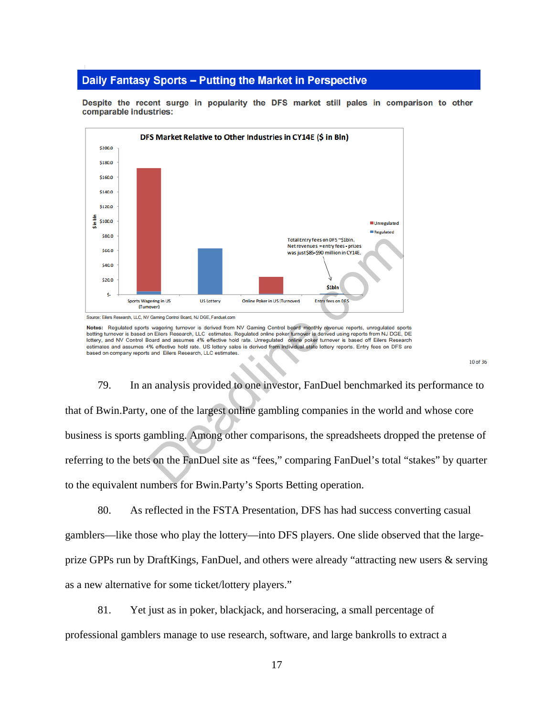#### Daily Fantasy Sports - Putting the Market in Perspective



Despite the recent surge in popularity the DFS market still pales in comparison to other comparable industries:

#### $10 of 36$

79. In an analysis provided to one investor, FanDuel benchmarked its performance to that of Bwin.Party, one of the largest online gambling companies in the world and whose core business is sports gambling. Among other comparisons, the spreadsheets dropped the pretense of referring to the bets on the FanDuel site as "fees," comparing FanDuel's total "stakes" by quarter to the equivalent numbers for Bwin.Party's Sports Betting operation. Total Entry fees on DFS - Silah.<br>
Net revenues = entry fees - prizes<br>
was just 585-590 million in CYME.<br>
We was just 585-590 million in CYME.<br>
Online Paker in US (Same Control Board, NJ DGE, Frankation<br>
Conney Control Boar

80. As reflected in the FSTA Presentation, DFS has had success converting casual gamblers—like those who play the lottery—into DFS players. One slide observed that the largeprize GPPs run by DraftKings, FanDuel, and others were already "attracting new users & serving as a new alternative for some ticket/lottery players."

81. Yet just as in poker, blackjack, and horseracing, a small percentage of professional gamblers manage to use research, software, and large bankrolls to extract a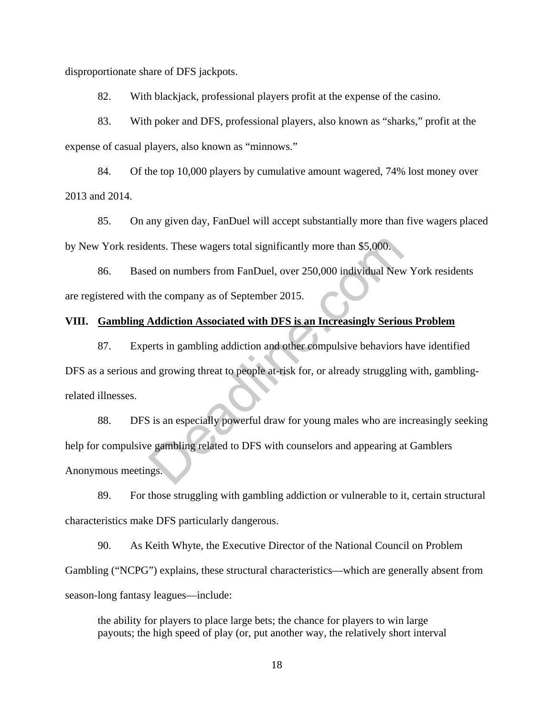disproportionate share of DFS jackpots.

82. With blackjack, professional players profit at the expense of the casino.

83. With poker and DFS, professional players, also known as "sharks," profit at the expense of casual players, also known as "minnows."

84. Of the top 10,000 players by cumulative amount wagered, 74% lost money over 2013 and 2014.

85. On any given day, FanDuel will accept substantially more than five wagers placed by New York residents. These wagers total significantly more than \$5,000.

86. Based on numbers from FanDuel, over 250,000 individual New York residents are registered with the company as of September 2015.

# **VIII. Gambling Addiction Associated with DFS is an Increasingly Serious Problem**

87. Experts in gambling addiction and other compulsive behaviors have identified DFS as a serious and growing threat to people at-risk for, or already struggling with, gamblingrelated illnesses.

88. DFS is an especially powerful draw for young males who are increasingly seeking help for compulsive gambling related to DFS with counselors and appearing at Gamblers Anonymous meetings. ents. These wagers total significantly more than \$5,000.<br>Example on numbers from FanDuel, over 250,000 individual New<br>the company as of September 2015.<br>Addiction Associated with DFS is an Increasingly Serior<br>erts in gambli

89. For those struggling with gambling addiction or vulnerable to it, certain structural characteristics make DFS particularly dangerous.

90. As Keith Whyte, the Executive Director of the National Council on Problem Gambling ("NCPG") explains, these structural characteristics—which are generally absent from season-long fantasy leagues—include:

the ability for players to place large bets; the chance for players to win large payouts; the high speed of play (or, put another way, the relatively short interval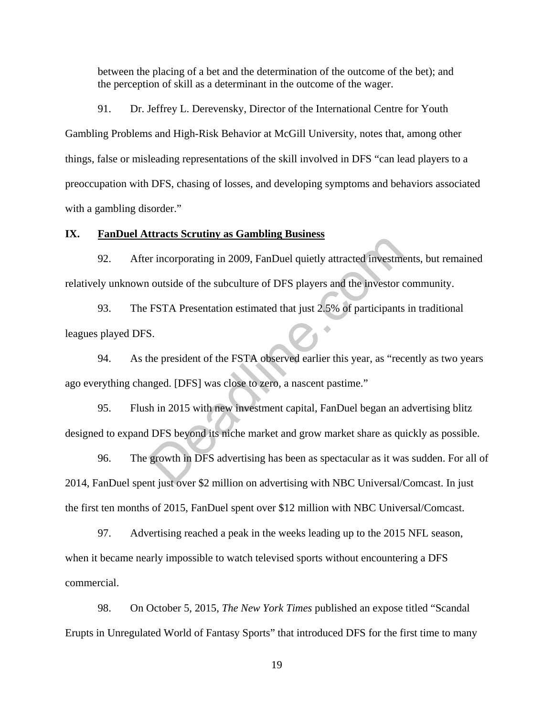between the placing of a bet and the determination of the outcome of the bet); and the perception of skill as a determinant in the outcome of the wager.

91. Dr. Jeffrey L. Derevensky, Director of the International Centre for Youth Gambling Problems and High-Risk Behavior at McGill University, notes that, among other things, false or misleading representations of the skill involved in DFS "can lead players to a preoccupation with DFS, chasing of losses, and developing symptoms and behaviors associated with a gambling disorder."

## **IX. FanDuel Attracts Scrutiny as Gambling Business**

92. After incorporating in 2009, FanDuel quietly attracted investments, but remained relatively unknown outside of the subculture of DFS players and the investor community.

93. The FSTA Presentation estimated that just 2.5% of participants in traditional leagues played DFS.

94. As the president of the FSTA observed earlier this year, as "recently as two years ago everything changed. [DFS] was close to zero, a nascent pastime."

95. Flush in 2015 with new investment capital, FanDuel began an advertising blitz designed to expand DFS beyond its niche market and grow market share as quickly as possible. or incorporating in 2009, FanDuel quietly attracted investments outside of the subculture of DFS players and the investor of FSTA Presentation estimated that just 2.5% of participants S.<br>B.<br>B.<br>he president of the FSTA obse

96. The growth in DFS advertising has been as spectacular as it was sudden. For all of 2014, FanDuel spent just over \$2 million on advertising with NBC Universal/Comcast. In just the first ten months of 2015, FanDuel spent over \$12 million with NBC Universal/Comcast.

97. Advertising reached a peak in the weeks leading up to the 2015 NFL season, when it became nearly impossible to watch televised sports without encountering a DFS commercial.

98. On October 5, 2015, *The New York Times* published an expose titled "Scandal Erupts in Unregulated World of Fantasy Sports" that introduced DFS for the first time to many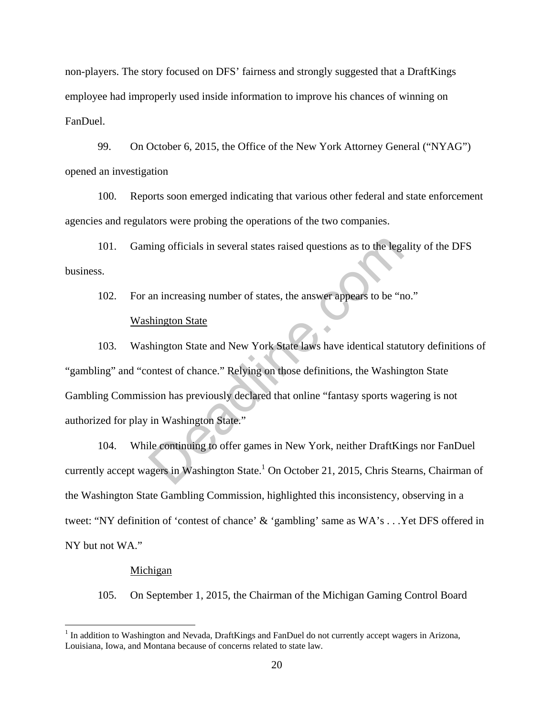non-players. The story focused on DFS' fairness and strongly suggested that a DraftKings employee had improperly used inside information to improve his chances of winning on FanDuel.

99. On October 6, 2015, the Office of the New York Attorney General ("NYAG") opened an investigation

100. Reports soon emerged indicating that various other federal and state enforcement agencies and regulators were probing the operations of the two companies.

101. Gaming officials in several states raised questions as to the legality of the DFS business.

102. For an increasing number of states, the answer appears to be "no." Washington State

103. Washington State and New York State laws have identical statutory definitions of "gambling" and "contest of chance." Relying on those definitions, the Washington State Gambling Commission has previously declared that online "fantasy sports wagering is not authorized for play in Washington State." ing officials in several states raised questions as to the lega<br>an increasing number of states, the answer appears to be "n<br>thington State<br>thington State and New York State laws have identical state<br>ontest of chance." Rely

104. While continuing to offer games in New York, neither DraftKings nor FanDuel currently accept wagers in Washington State.<sup>1</sup> On October 21, 2015, Chris Stearns, Chairman of the Washington State Gambling Commission, highlighted this inconsistency, observing in a tweet: "NY definition of 'contest of chance' & 'gambling' same as WA's . . .Yet DFS offered in NY but not WA."

#### Michigan

 $\overline{a}$ 

105. On September 1, 2015, the Chairman of the Michigan Gaming Control Board

<sup>&</sup>lt;sup>1</sup> In addition to Washington and Nevada, DraftKings and FanDuel do not currently accept wagers in Arizona, Louisiana, Iowa, and Montana because of concerns related to state law*.*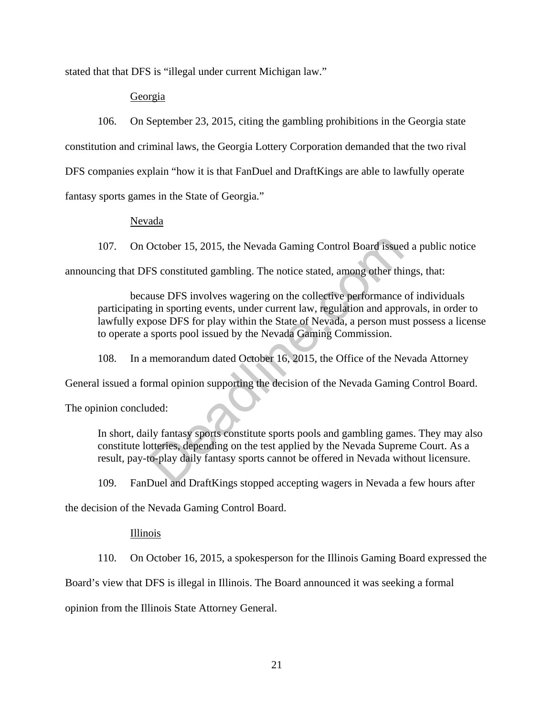stated that that DFS is "illegal under current Michigan law."

## Georgia

106. On September 23, 2015, citing the gambling prohibitions in the Georgia state constitution and criminal laws, the Georgia Lottery Corporation demanded that the two rival DFS companies explain "how it is that FanDuel and DraftKings are able to lawfully operate fantasy sports games in the State of Georgia."

Nevada

107. On October 15, 2015, the Nevada Gaming Control Board issued a public notice

announcing that DFS constituted gambling. The notice stated, among other things, that:

because DFS involves wagering on the collective performance of individuals participating in sporting events, under current law, regulation and approvals, in order to lawfully expose DFS for play within the State of Nevada, a person must possess a license to operate a sports pool issued by the Nevada Gaming Commission. October 15, 2015, the Nevada Gaming Control Board issue<br>
FS constituted gambling. The notice stated, among other thi<br>
uuse DFS involves wagering on the collective performance<br>
g in sporting events, under current law, regul

108. In a memorandum dated October 16, 2015, the Office of the Nevada Attorney

General issued a formal opinion supporting the decision of the Nevada Gaming Control Board.

The opinion concluded:

In short, daily fantasy sports constitute sports pools and gambling games. They may also constitute lotteries, depending on the test applied by the Nevada Supreme Court. As a result, pay-to-play daily fantasy sports cannot be offered in Nevada without licensure.

109. FanDuel and DraftKings stopped accepting wagers in Nevada a few hours after

the decision of the Nevada Gaming Control Board.

### Illinois

110. On October 16, 2015, a spokesperson for the Illinois Gaming Board expressed the

Board's view that DFS is illegal in Illinois. The Board announced it was seeking a formal

opinion from the Illinois State Attorney General.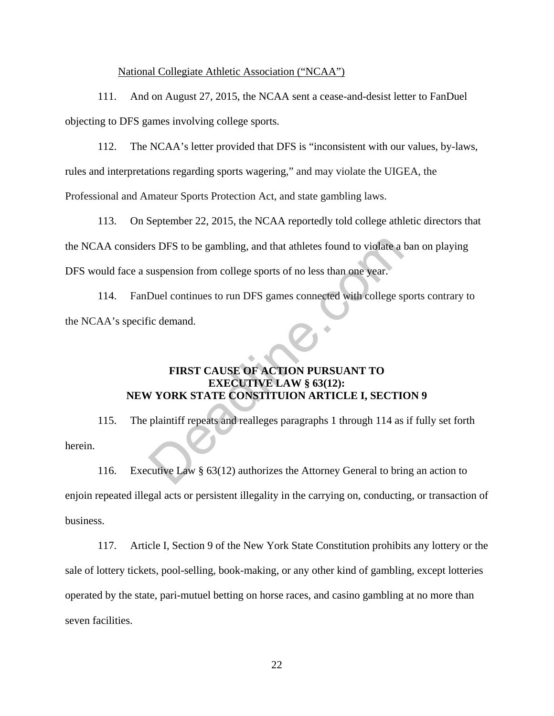#### National Collegiate Athletic Association ("NCAA")

111. And on August 27, 2015, the NCAA sent a cease-and-desist letter to FanDuel objecting to DFS games involving college sports.

112. The NCAA's letter provided that DFS is "inconsistent with our values, by-laws,

rules and interpretations regarding sports wagering," and may violate the UIGEA, the

Professional and Amateur Sports Protection Act, and state gambling laws.

113. On September 22, 2015, the NCAA reportedly told college athletic directors that the NCAA considers DFS to be gambling, and that athletes found to violate a ban on playing DFS would face a suspension from college sports of no less than one year. IT DFS to be gambling, and that athletes found to violate a<br>suspension from college sports of no less than one year.<br>Duel continues to run DFS games connected with college spic<br>demand.<br>FIRST CAUSE OF ACTION PURSUANT TO<br>EXE

114. FanDuel continues to run DFS games connected with college sports contrary to the NCAA's specific demand.

# **FIRST CAUSE OF ACTION PURSUANT TO EXECUTIVE LAW § 63(12): NEW YORK STATE CONSTITUION ARTICLE I, SECTION 9**

115. The plaintiff repeats and realleges paragraphs 1 through 114 as if fully set forth herein.

116. Executive Law § 63(12) authorizes the Attorney General to bring an action to enjoin repeated illegal acts or persistent illegality in the carrying on, conducting, or transaction of business.

117. Article I, Section 9 of the New York State Constitution prohibits any lottery or the sale of lottery tickets, pool-selling, book-making, or any other kind of gambling, except lotteries operated by the state, pari-mutuel betting on horse races, and casino gambling at no more than seven facilities.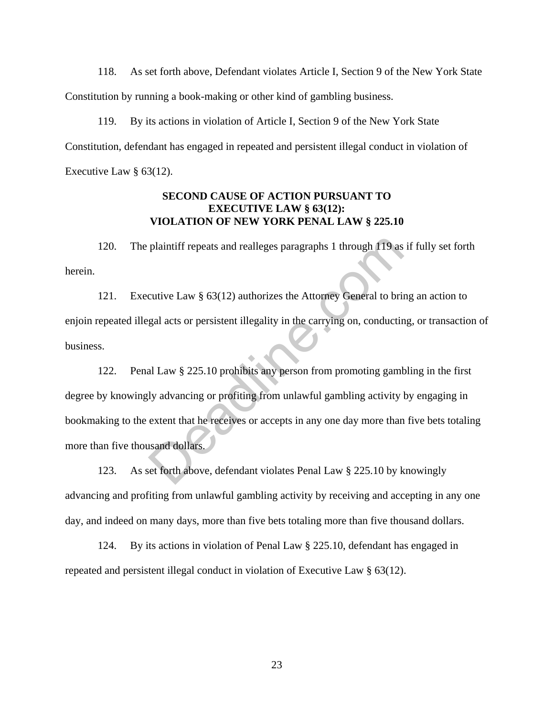118. As set forth above, Defendant violates Article I, Section 9 of the New York State Constitution by running a book-making or other kind of gambling business.

119. By its actions in violation of Article I, Section 9 of the New York State Constitution, defendant has engaged in repeated and persistent illegal conduct in violation of Executive Law § 63(12).

## **SECOND CAUSE OF ACTION PURSUANT TO EXECUTIVE LAW § 63(12): VIOLATION OF NEW YORK PENAL LAW § 225.10**

120. The plaintiff repeats and realleges paragraphs 1 through 119 as if fully set forth herein.

121. Executive Law § 63(12) authorizes the Attorney General to bring an action to enjoin repeated illegal acts or persistent illegality in the carrying on, conducting, or transaction of business.

122. Penal Law § 225.10 prohibits any person from promoting gambling in the first degree by knowingly advancing or profiting from unlawful gambling activity by engaging in bookmaking to the extent that he receives or accepts in any one day more than five bets totaling more than five thousand dollars. plaintiff repeats and realleges paragraphs 1 through 119 as<br>cutive Law § 63(12) authorizes the Attorney General to brii<br>gal acts or persistent illegality in the carrying on, conductir<br>al Law § 225.10 prohibits any person f

123. As set forth above, defendant violates Penal Law § 225.10 by knowingly advancing and profiting from unlawful gambling activity by receiving and accepting in any one day, and indeed on many days, more than five bets totaling more than five thousand dollars.

124. By its actions in violation of Penal Law § 225.10, defendant has engaged in repeated and persistent illegal conduct in violation of Executive Law § 63(12).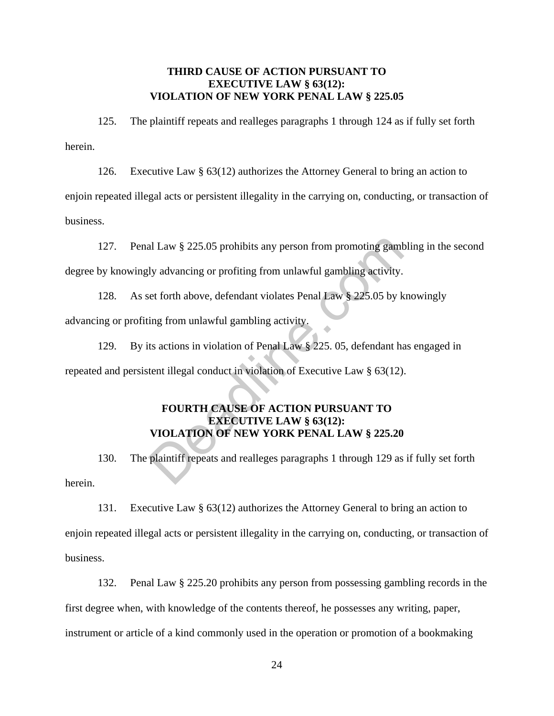## **THIRD CAUSE OF ACTION PURSUANT TO EXECUTIVE LAW § 63(12): VIOLATION OF NEW YORK PENAL LAW § 225.05**

125. The plaintiff repeats and realleges paragraphs 1 through 124 as if fully set forth herein.

126. Executive Law § 63(12) authorizes the Attorney General to bring an action to

enjoin repeated illegal acts or persistent illegality in the carrying on, conducting, or transaction of business.

127. Penal Law § 225.05 prohibits any person from promoting gambling in the second degree by knowingly advancing or profiting from unlawful gambling activity.

128. As set forth above, defendant violates Penal Law § 225.05 by knowingly advancing or profiting from unlawful gambling activity. al Law § 225.05 prohibits any person from promoting gaml<br>
ly advancing or profiting from unlawful gambling activity.<br>
eet forth above, defendant violates Penal Law § 225.05 by k<br>
ing from unlawful gambling activity.<br>
ts ac

129. By its actions in violation of Penal Law § 225. 05, defendant has engaged in repeated and persistent illegal conduct in violation of Executive Law § 63(12).

# **FOURTH CAUSE OF ACTION PURSUANT TO EXECUTIVE LAW § 63(12): VIOLATION OF NEW YORK PENAL LAW § 225.20**

130. The plaintiff repeats and realleges paragraphs 1 through 129 as if fully set forth herein.

131. Executive Law § 63(12) authorizes the Attorney General to bring an action to enjoin repeated illegal acts or persistent illegality in the carrying on, conducting, or transaction of business.

132. Penal Law § 225.20 prohibits any person from possessing gambling records in the first degree when, with knowledge of the contents thereof, he possesses any writing, paper, instrument or article of a kind commonly used in the operation or promotion of a bookmaking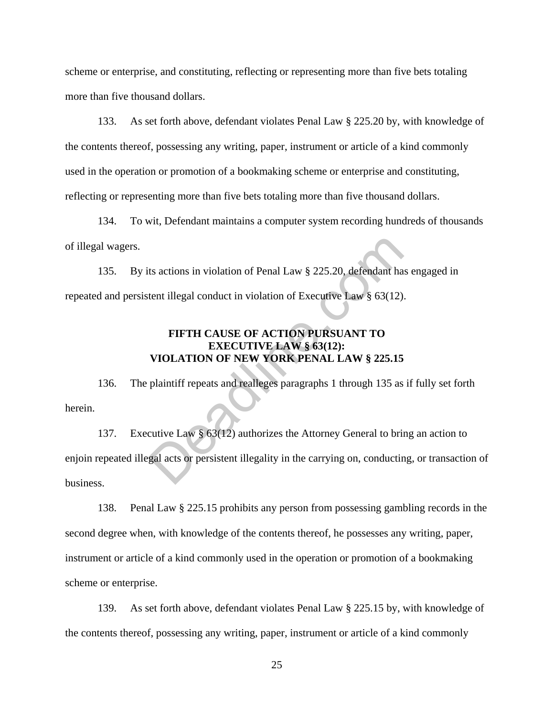scheme or enterprise, and constituting, reflecting or representing more than five bets totaling more than five thousand dollars.

133. As set forth above, defendant violates Penal Law § 225.20 by, with knowledge of the contents thereof, possessing any writing, paper, instrument or article of a kind commonly used in the operation or promotion of a bookmaking scheme or enterprise and constituting, reflecting or representing more than five bets totaling more than five thousand dollars.

134. To wit, Defendant maintains a computer system recording hundreds of thousands of illegal wagers.

135. By its actions in violation of Penal Law § 225.20, defendant has engaged in repeated and persistent illegal conduct in violation of Executive Law § 63(12).

# **FIFTH CAUSE OF ACTION PURSUANT TO EXECUTIVE LAW § 63(12): VIOLATION OF NEW YORK PENAL LAW § 225.15**

136. The plaintiff repeats and realleges paragraphs 1 through 135 as if fully set forth herein.

137. Executive Law § 63(12) authorizes the Attorney General to bring an action to enjoin repeated illegal acts or persistent illegality in the carrying on, conducting, or transaction of business. ts actions in violation of Penal Law § 225.20, defendant ha<br>tent illegal conduct in violation of Executive Law § 63(12)<br>FIFTH CAUSE OF ACTION PURSUANT TO<br>EXECUTIVE LAW § 63(12):<br>VIOLATION OF NEW YORK PENAL LAW § 225.15<br>pl

138. Penal Law § 225.15 prohibits any person from possessing gambling records in the second degree when, with knowledge of the contents thereof, he possesses any writing, paper, instrument or article of a kind commonly used in the operation or promotion of a bookmaking scheme or enterprise.

139. As set forth above, defendant violates Penal Law § 225.15 by, with knowledge of the contents thereof, possessing any writing, paper, instrument or article of a kind commonly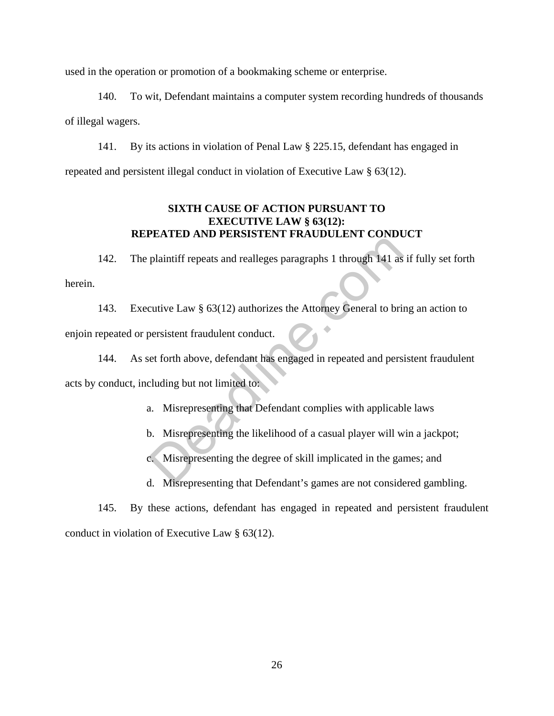used in the operation or promotion of a bookmaking scheme or enterprise.

140. To wit, Defendant maintains a computer system recording hundreds of thousands of illegal wagers.

141. By its actions in violation of Penal Law § 225.15, defendant has engaged in repeated and persistent illegal conduct in violation of Executive Law § 63(12).

# **SIXTH CAUSE OF ACTION PURSUANT TO EXECUTIVE LAW § 63(12): REPEATED AND PERSISTENT FRAUDULENT CONDUCT**

142. The plaintiff repeats and realleges paragraphs 1 through 141 as if fully set forth herein.

143. Executive Law § 63(12) authorizes the Attorney General to bring an action to enjoin repeated or persistent fraudulent conduct.

144. As set forth above, defendant has engaged in repeated and persistent fraudulent acts by conduct, including but not limited to: plaintiff repeats and realleges paragraphs 1 through 141 as<br>cutive Law § 63(12) authorizes the Attorney General to bris<br>persistent fraudulent conduct.<br>et forth above, defendant has engaged in repeated and pers<br>cluding but

- a. Misrepresenting that Defendant complies with applicable laws
- b. Misrepresenting the likelihood of a casual player will win a jackpot;
- c. Misrepresenting the degree of skill implicated in the games; and
- d. Misrepresenting that Defendant's games are not considered gambling.

145. By these actions, defendant has engaged in repeated and persistent fraudulent conduct in violation of Executive Law § 63(12).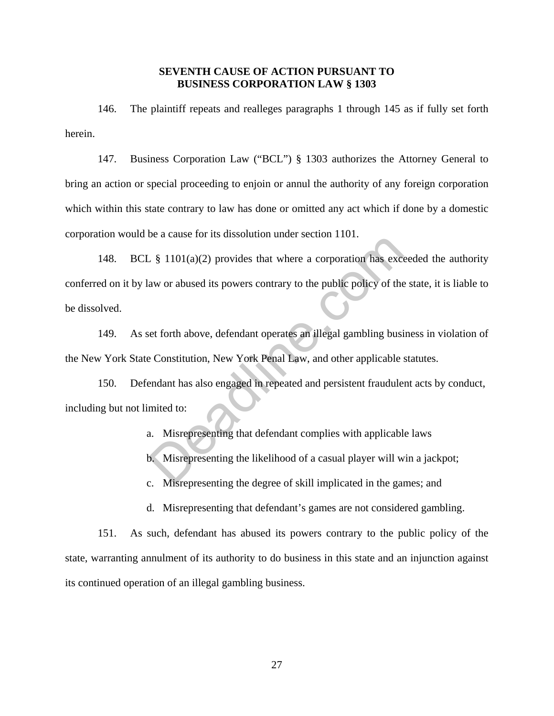## **SEVENTH CAUSE OF ACTION PURSUANT TO BUSINESS CORPORATION LAW § 1303**

146. The plaintiff repeats and realleges paragraphs 1 through 145 as if fully set forth herein.

147. Business Corporation Law ("BCL") § 1303 authorizes the Attorney General to bring an action or special proceeding to enjoin or annul the authority of any foreign corporation which within this state contrary to law has done or omitted any act which if done by a domestic corporation would be a cause for its dissolution under section 1101.

148. BCL § 1101(a)(2) provides that where a corporation has exceeded the authority conferred on it by law or abused its powers contrary to the public policy of the state, it is liable to be dissolved.  $\frac{1}{2}$  \$ 1101(a)(2) provides that where a corporation has excess  $\frac{1}{2}$  and  $\frac{1}{2}$  and  $\frac{1}{2}$  and  $\frac{1}{2}$  and  $\frac{1}{2}$  and  $\frac{1}{2}$  and  $\frac{1}{2}$  and  $\frac{1}{2}$  and  $\frac{1}{2}$  and  $\frac{1}{2}$  and  $\frac{1}{2}$  con

149. As set forth above, defendant operates an illegal gambling business in violation of the New York State Constitution, New York Penal Law, and other applicable statutes.

150. Defendant has also engaged in repeated and persistent fraudulent acts by conduct, including but not limited to:

- a. Misrepresenting that defendant complies with applicable laws
- b. Misrepresenting the likelihood of a casual player will win a jackpot;
- c. Misrepresenting the degree of skill implicated in the games; and
- d. Misrepresenting that defendant's games are not considered gambling.

151. As such, defendant has abused its powers contrary to the public policy of the state, warranting annulment of its authority to do business in this state and an injunction against its continued operation of an illegal gambling business.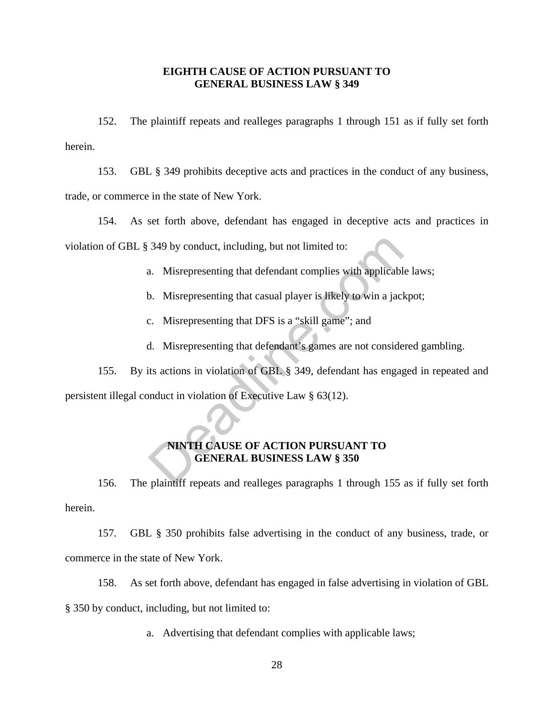## **EIGHTH CAUSE OF ACTION PURSUANT TO GENERAL BUSINESS LAW § 349**

152. The plaintiff repeats and realleges paragraphs 1 through 151 as if fully set forth herein.

153. GBL § 349 prohibits deceptive acts and practices in the conduct of any business, trade, or commerce in the state of New York.

154. As set forth above, defendant has engaged in deceptive acts and practices in violation of GBL § 349 by conduct, including, but not limited to:

- a. Misrepresenting that defendant complies with applicable laws;
- b. Misrepresenting that casual player is likely to win a jackpot;
- c. Misrepresenting that DFS is a "skill game"; and
- d. Misrepresenting that defendant's games are not considered gambling.

155. By its actions in violation of GBL § 349, defendant has engaged in repeated and persistent illegal conduct in violation of Executive Law § 63(12). 349 by conduct, including, but not limited to:<br>
a. Misrepresenting that defendant complies with applicable.<br>
D. Misrepresenting that casual player is likely to win a jack<br>
c. Misrepresenting that DFS is a "skill game"; and

# **NINTH CAUSE OF ACTION PURSUANT TO GENERAL BUSINESS LAW § 350**

156. The plaintiff repeats and realleges paragraphs 1 through 155 as if fully set forth herein.

157. GBL § 350 prohibits false advertising in the conduct of any business, trade, or commerce in the state of New York.

158. As set forth above, defendant has engaged in false advertising in violation of GBL § 350 by conduct, including, but not limited to:

a. Advertising that defendant complies with applicable laws;